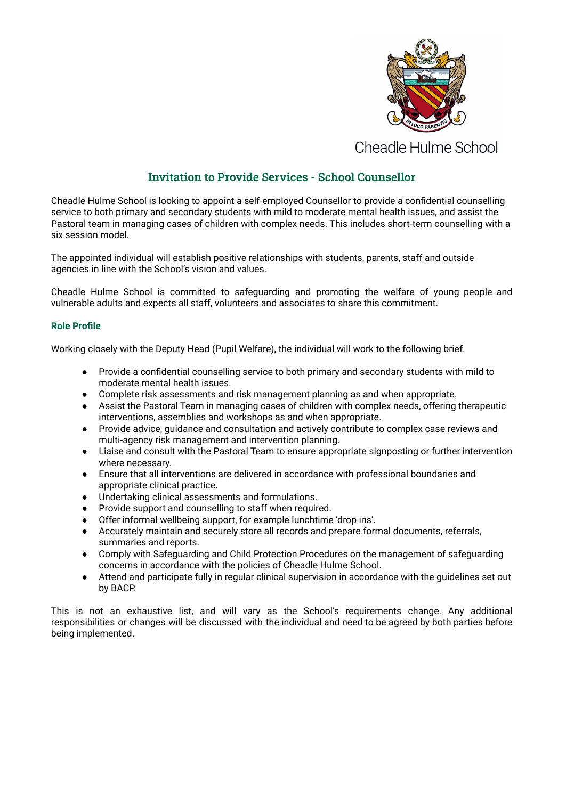

**Cheadle Hulme School** 

## **Invitation to Provide Services - School Counsellor**

Cheadle Hulme School is looking to appoint a self-employed Counsellor to provide a confidential counselling service to both primary and secondary students with mild to moderate mental health issues, and assist the Pastoral team in managing cases of children with complex needs. This includes short-term counselling with a six session model.

The appointed individual will establish positive relationships with students, parents, staff and outside agencies in line with the School's vision and values.

Cheadle Hulme School is committed to safeguarding and promoting the welfare of young people and vulnerable adults and expects all staff, volunteers and associates to share this commitment.

## **Role Profile**

Working closely with the Deputy Head (Pupil Welfare), the individual will work to the following brief.

- Provide a confidential counselling service to both primary and secondary students with mild to moderate mental health issues.
- Complete risk assessments and risk management planning as and when appropriate.
- Assist the Pastoral Team in managing cases of children with complex needs, offering therapeutic interventions, assemblies and workshops as and when appropriate.
- Provide advice, guidance and consultation and actively contribute to complex case reviews and multi-agency risk management and intervention planning.
- Liaise and consult with the Pastoral Team to ensure appropriate signposting or further intervention where necessary.
- Ensure that all interventions are delivered in accordance with professional boundaries and appropriate clinical practice.
- Undertaking clinical assessments and formulations.
- Provide support and counselling to staff when required.
- Offer informal wellbeing support, for example lunchtime 'drop ins'.
- Accurately maintain and securely store all records and prepare formal documents, referrals, summaries and reports.
- Comply with Safeguarding and Child Protection Procedures on the management of safeguarding concerns in accordance with the policies of Cheadle Hulme School.
- Attend and participate fully in regular clinical supervision in accordance with the guidelines set out by BACP.

This is not an exhaustive list, and will vary as the School's requirements change. Any additional responsibilities or changes will be discussed with the individual and need to be agreed by both parties before being implemented.